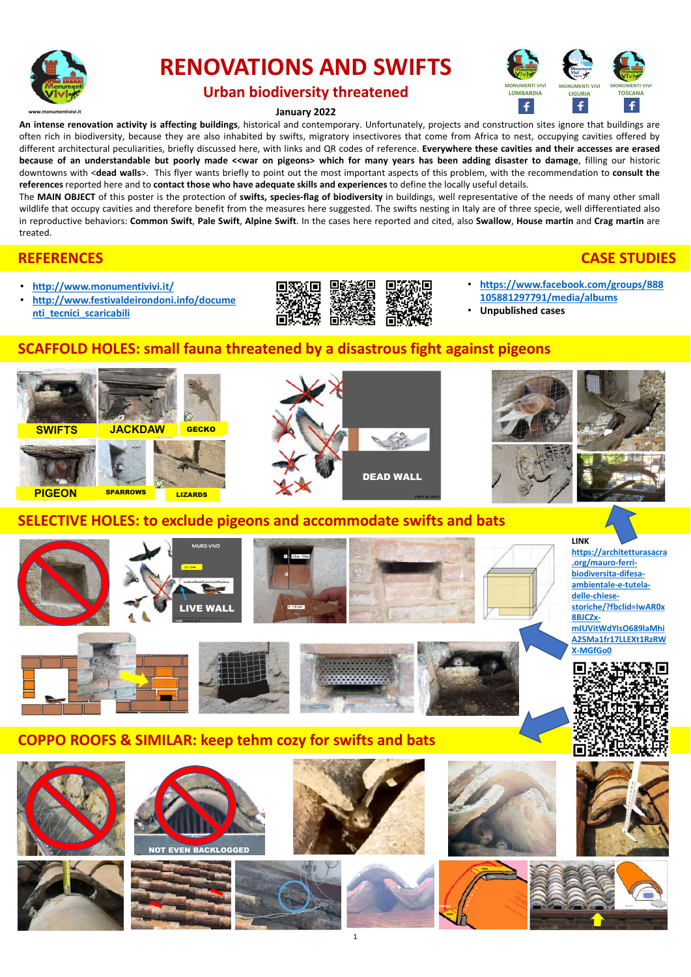

# **RENOVATIONS AND SWIFTS**



### **Urban biodiversity threatened**

### **January 2022**

**An intense renovation activity is affecting buildings**, historical and contemporary. Unfortunately, projects and construction sites ignore that buildings are often rich in biodiversity, because they are also inhabited by swifts, migratory insectivores that come from Africa to nest, occupying cavities offered by different architectural peculiarities, briefly discussed here, with links and QR codes of reference. **Everywhere these cavities and their accesses are erased** because of an understandable but poorly made <<war on pigeons> which for many years has been adding disaster to damage, filling our historic downtowns with <**dead walls**>. This flyer wants briefly to point out the most important aspects of this problem, with the recommendation to **consult the references** reported here and to **contact those who have adequate skills and experiences** to define the locally useful details.

The **MAIN OBJECT** of this poster is the protection of **swifts, species-flag of biodiversity** in buildings, well representative of the needs of many other small wildlife that occupy cavities and therefore benefit from the measures here suggested. The swifts nesting in Italy are of three specie, well differentiated also in reproductive behaviors: Common Swift, Pale Swift, Alpine Swift. In the cases here reported and cited, also Swallow, House martin and Crag martin are treated.

### **REFERENCES CASE STUDIES**

- **http://www.monumentivivi.it/**
- **http://www.festivaldeirondoni.info/docume nti\_tecnici\_scaricabili**



- **https://www.facebook.com/groups/888 105881297791/media/albums**
- **Unpublished cases**

## **SCAFFOLD HOLES: small fauna threatened by a disastrous fight against pigeons**



### **COPPO ROOFS & SIMILAR: keep tehm cozy for swifts and bats**







NOT EVEN BACKLOGGED







1